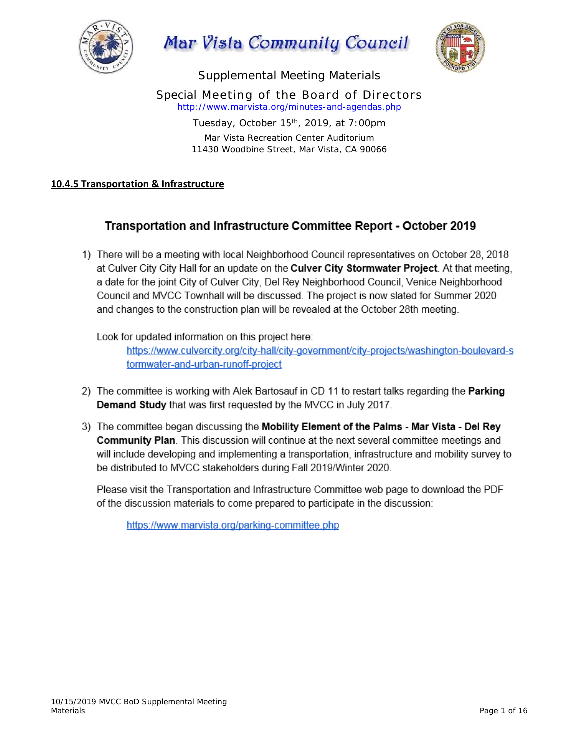

Mar Vista Community Council



Supplemental Meeting Materials

Special Meeting of the Board of Directors *http://www.marvista.org/minutes-and-agendas.php* 

> Tuesday, October 15<sup>th</sup>, 2019, at 7:00pm Mar Vista Recreation Center Auditorium 11430 Woodbine Street, Mar Vista, CA 90066

### **10.4.5 Transportation & Infrastructure**

# Transportation and Infrastructure Committee Report - October 2019

1) There will be a meeting with local Neighborhood Council representatives on October 28, 2018 at Culver City City Hall for an update on the **Culver City Stormwater Project**. At that meeting, a date for the joint City of Culver City, Del Rey Neighborhood Council, Venice Neighborhood Council and MVCC Townhall will be discussed. The project is now slated for Summer 2020 and changes to the construction plan will be revealed at the October 28th meeting.

Look for updated information on this project here:

https://www.culvercity.org/city-hall/city-government/city-projects/washington-boulevard-s tormwater-and-urban-runoff-project

- 2) The committee is working with Alek Bartosauf in CD 11 to restart talks regarding the **Parking** Demand Study that was first requested by the MVCC in July 2017.
- 3) The committee began discussing the Mobility Element of the Palms Mar Vista Del Rey **Community Plan**. This discussion will continue at the next several committee meetings and will include developing and implementing a transportation, infrastructure and mobility survey to be distributed to MVCC stakeholders during Fall 2019/Winter 2020.

Please visit the Transportation and Infrastructure Committee web page to download the PDF of the discussion materials to come prepared to participate in the discussion:

https://www.marvista.org/parking-committee.php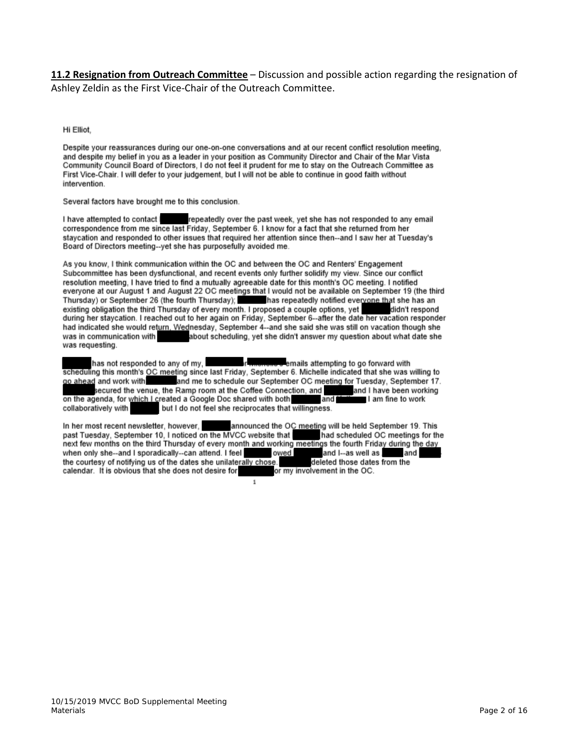**11.2 Resignation from Outreach Committee** – Discussion and possible action regarding the resignation of Ashley Zeldin as the First Vice‐Chair of the Outreach Committee.

Hi Elliot,

Despite your reassurances during our one-on-one conversations and at our recent conflict resolution meeting. and despite my belief in you as a leader in your position as Community Director and Chair of the Mar Vista Community Council Board of Directors, I do not feel it prudent for me to stay on the Outreach Committee as First Vice-Chair. I will defer to your judgement, but I will not be able to continue in good faith without intervention.

Several factors have brought me to this conclusion.

I have attempted to contact I repeatedly over the past week, yet she has not responded to any email correspondence from me since last Friday, September 6. I know for a fact that she returned from her staycation and responded to other issues that required her attention since then--and I saw her at Tuesday's Board of Directors meeting--yet she has purposefully avoided me.

As you know, I think communication within the OC and between the OC and Renters' Engagement Subcommittee has been dysfunctional, and recent events only further solidify my view. Since our conflict resolution meeting, I have tried to find a mutually agreeable date for this month's OC meeting. I notified everyone at our August 1 and August 22 OC meetings that I would not be available on September 19 (the third Thursday) or September 26 (the fourth Thursday);<br>
Thursday or September 26 (the fourth Thursday);<br>
and reverved a couple options, yet<br>
didn't respond during her stay<br>cation. I reached out to her again on Friday, September had indicated she would return. Wednesday, September 4--and she said she was still on vacation though she was in communication with about scheduling, yet she didn't answer my question about what date she was requesting.

has not responded to any of my, emails attempting to go forward with scheduling this month's OC meeting since last Friday, September 6. Michelle indicated that she was willing to go ahead and work with and me to schedule our September OC meeting for Tuesday, September 17. secured the venue, the Ramp room at the Coffee Connection, and and I have been working on the agenda, for which I created a Google Doc shared with both<br>collaboratively with but I do not feel she reciprocates that v and I am fine to work but I do not feel she reciprocates that willingness.

In her most recent newsletter, however, announced the OC meeting will be held September 19. This past Tuesday, September 10, I noticed on the MVCC website that had scheduled OC meetings for the next few months on the third Thursday of every month and working meetings the fourth Friday during the day when only she--and I sporadically--can attend. I feel owed and I--as well as. and the courtesy of notifying us of the dates she unilaterally chose. deleted those dates from the calendar. It is obvious that she does not desire for or my involvement in the OC.

 $\mathbf{1}$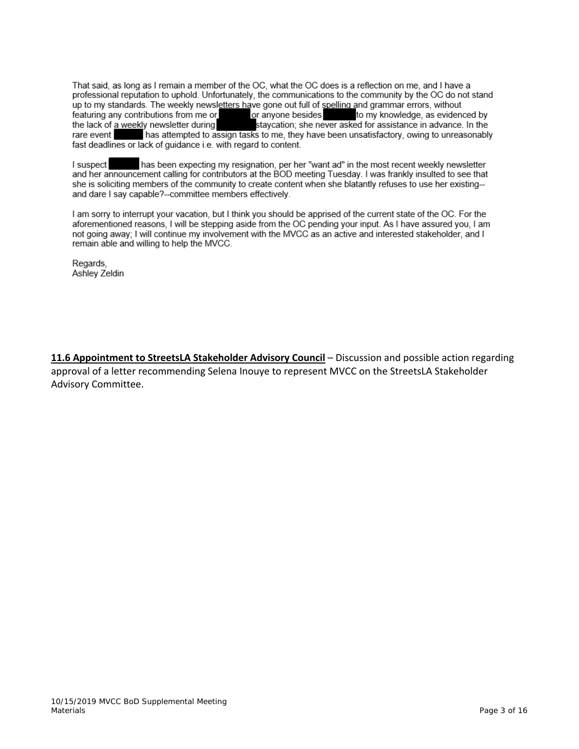That said, as long as I remain a member of the OC, what the OC does is a reflection on me, and I have a professional reputation to uphold. Unfortunately, the communications to the community by the OC do not stand up to my standards. The weekly newsletters have gone out full of spelling and grammar errors, without featuring any contributions from me or or anyone besides to my knowledge, as evidenced by the lack of a weekly newsletter during<br>the lack of a weekly newsletter during<br>has attempted to assign tasks to me, they have been unsatisfactory, owing to unreasonably rare event fast deadlines or lack of guidance i.e. with regard to content.

has been expecting my resignation, per her "want ad" in the most recent weekly newsletter I suspect and her announcement calling for contributors at the BOD meeting Tuesday. I was frankly insulted to see that she is soliciting members of the community to create content when she blatantly refuses to use her existing-and dare I say capable?--committee members effectively.

I am sorry to interrupt your vacation, but I think you should be apprised of the current state of the OC. For the aforementioned reasons, I will be stepping aside from the OC pending your input. As I have assured you, I am not going away; I will continue my involvement with the MVCC as an active and interested stakeholder, and I remain able and willing to help the MVCC.

Regards, Ashley Zeldin

**11.6 Appointment to StreetsLA Stakeholder Advisory Council** – Discussion and possible action regarding approval of a letter recommending Selena Inouye to represent MVCC on the StreetsLA Stakeholder Advisory Committee.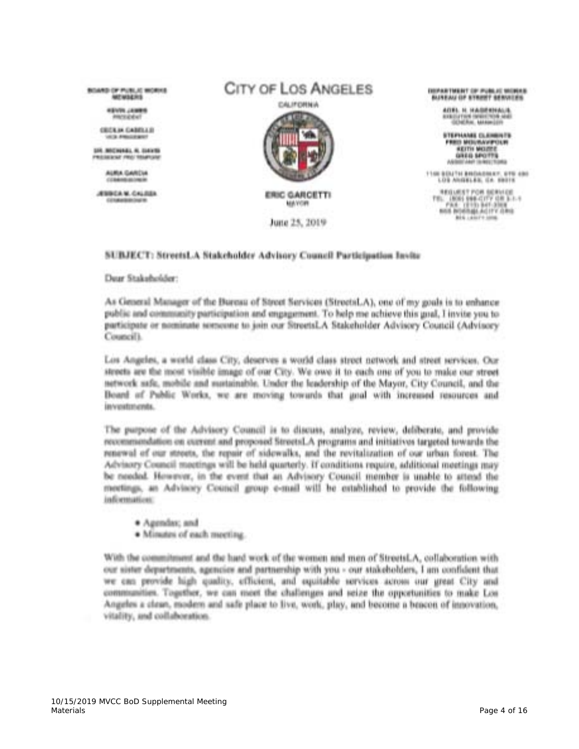**BUSINESS OF PUBLIC MORNIES MENSION** 

> *SENSIS LABORS* **The State of Second**

**CROLIN CARRILLE** 

LOS MOTORAGE, N. ELEVIS MILLIAN BESAT (FRONT TROUBER) WAS

> AURUL GARDIA COMMUNICATIONS

ATMEDIA M. CALINEA **CONSUMING THE R** 

# CITY OF LOS ANGELES CALIFORNIA



MAYOR

June 25, 2019

ISSUED TWENT OF PUBLIC VIONAL

AITEL IL HAGERHALD. **CRIDATION INNINERING** 

STEPHANIE CLANINGS **FRIDE MERCHAWPOON** *ARTTH MILLIONS* GREG SHOTTS

1100 BDJ194 BROADBAY, 619 490 LOS ANGELES, CA. SHITE

 $\begin{array}{ll} \texttt{NEG} & \texttt{FGA} & \texttt{SGR} & \texttt{SGR} \\ \texttt{TE} & \texttt{GMS} & \texttt{V66} & \texttt{GFT} & \texttt{GRT} & \texttt{L-L-1} \\ & \texttt{FRA} & \texttt{GTT} & \texttt{B4} & \texttt{GTT} & \texttt{GRT} \\ & \texttt{HGA} & \texttt{GFT} & \texttt{GRT} & \texttt{GRT} \\ & \texttt{HGA} & \texttt{HGA} & \texttt{HGA} & \texttt{HGA} & \texttt{HGA} \\ \end{array}$ Big Lawrence

#### SUBJECT: StreetsLA Stakeholder Advisory Council Participation Invite

#### Dear Stakeholder:

As General Manager of the Bureau of Street Services (StreetsLA), one of my goals is to enhance public and community participation and engagement. To help me achieve this goal, I invite you to participate or nominate sorseene to join our StreetsLA Stakeholder Advisory Council (Advisory Council).

Los Angeles, a world class City, deserves a world class street network and street services. Our streets are the most visible image of our City. We owe it to each one of you to make our street. network safe, mobile and sustainable. Under the leadership of the Mayor, City Council, and the Board of Public Works, we are moving towards that goal with increased resources and investments.

The purpose of the Advisory Council is to discuss, analyze, review, deliberate, and provide recommendation on current and proposed StreetsLA programs and initiatives targeted towards the renewal of our streets, the repair of sidewalks, and the revitalization of our urban forest. The Advisory Council moetings will be held quarterly. If conditions require, additional meetings may be needed. However, in the event that an Advisory Council member is unable to attend the meetings, an Advisory Council group e-mail will be established to provide the following information:

- · Agendax; and
- · Minutes of each meeting.

With the commitment and the hard work of the women and men of StreetsLA, collaboration with our sister departments, agencies and partnership with you - our stakeholders, I am confident that we can provide high quality, efficient, and equitable services across our great City and communities. Together, we can meet the challenges and seize the opportunities to make Los Angeles a clean, esodern and safe place to live, work, play, and become a bencon of innovation, vitality, and collaboration.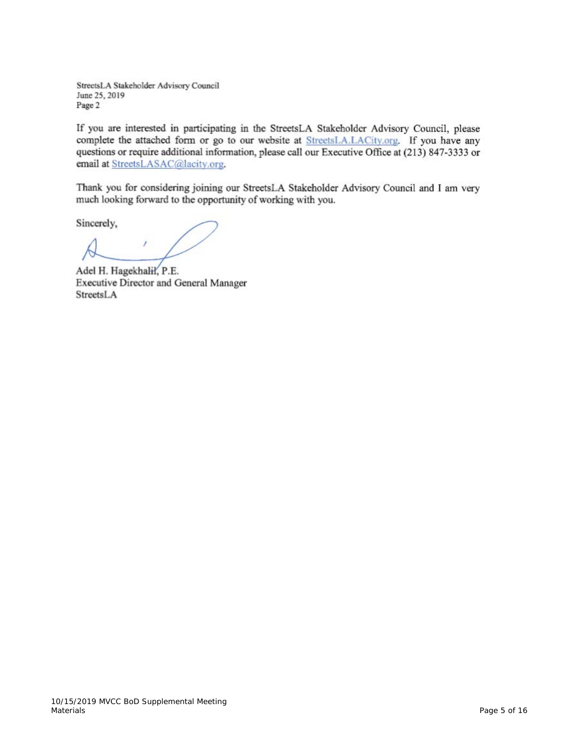StreetsLA Stakeholder Advisory Council June 25, 2019 Page 2

If you are interested in participating in the StreetsLA Stakeholder Advisory Council, please complete the attached form or go to our website at StreetsLA.LACity.org. If you have any questions or require additional information, please call our Executive Office at (213) 847-3333 or email at StreetsLASAC@lacity.org.

Thank you for considering joining our StreetsLA Stakeholder Advisory Council and I am very much looking forward to the opportunity of working with you.

Sincerely,

Adel H. Hagekhalił, P.E. Executive Director and General Manager StreetsLA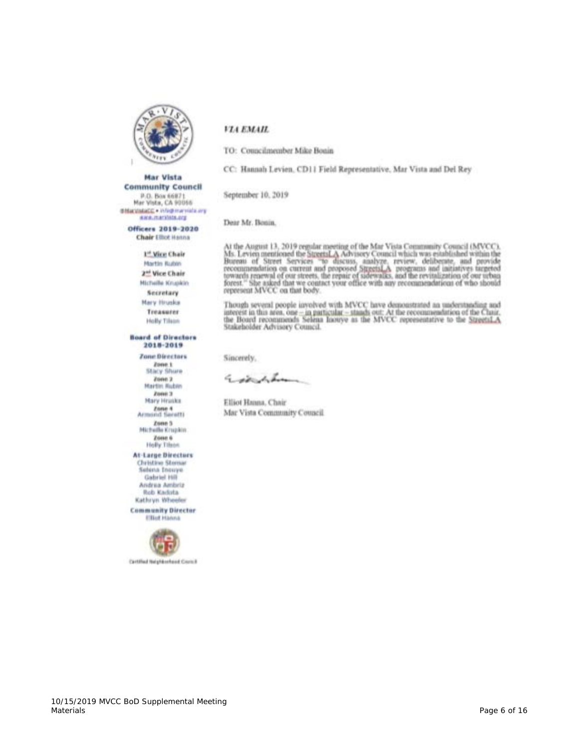

**Mar Vista Community Council** 

P.O. Box 66871<br>Mar Vista, CA 90066 differentiated . Infederation are **AWALISATIONALIZE** 

#### VIA EMAIL

TO: Councilnumber Mike Bonin

CC: Hannah Levien, CD11 Field Representative, Mar Vista and Del Rey

September 10, 2019

Dear Mr. Bonin.

Officers 2019-2020 **Chair Elliot Hanna** 

1st Vice Chair

Martin Bubby 2<sup>ad</sup> Vice Chair **Hichelle Knupkin** Secretary Mary Hruska

Treasurer Holly Tilson

#### **Board of Directors** 2018-2019

**Zone Directors** Zone 1 Stacy Shure

Zone 2 Martin Rubin Zone 3 Mary Hriske **Zone 4**<br>Armond Seretti

Zone 5<br>Michelle Krupkin Zone 6 **Holly Tilson** 

**At-Large Directors** Christine Steman Selena Incoye. Gabriel Hill Andrea Ambriz Rob Kaduta Kathryn Wheeler

**Community Director Elliut** Hanna



Cartified Helpfdorhood Cromit

At the August 13, 2019 regular meeting of the Mar Vista Community Council (MVCC).<br>Ms. Levien mentioned the StreetsLA Advisory Council which was established within the<br>Bureau of Street Services "to discuss, analyze, review represent MVCC on that body.

Though several people involved with MVCC have demonstrated an understanding and interest in this area, one  $-\text{in}$  particular,  $-\text{stands}$  out. At the recommendation of the Chair, the Board recommends Selena hoovye as the MV Stakeholder Advisory Council.

Sincerely,

Execution

Elliot Hanna, Chair Mar Vista Community Council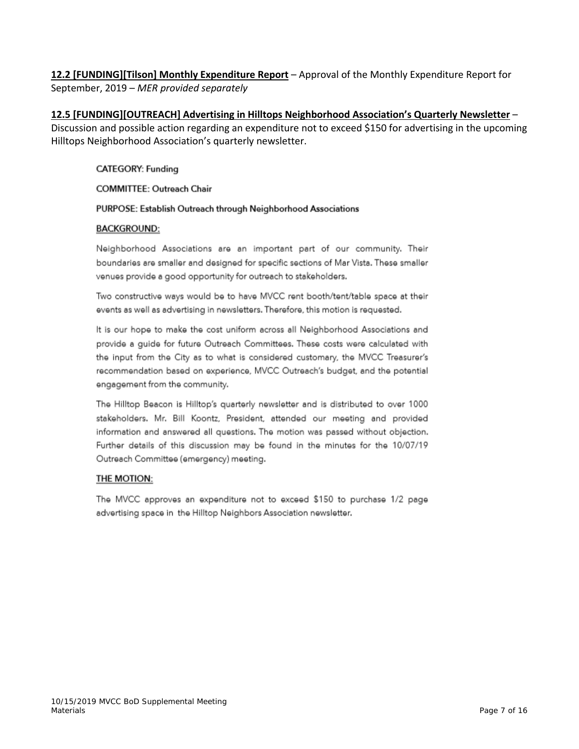**12.2 [FUNDING][Tilson] Monthly Expenditure Report** – Approval of the Monthly Expenditure Report for September, 2019 – *MER provided separately*

**12.5 [FUNDING][OUTREACH] Advertising in Hilltops Neighborhood Association's Quarterly Newsletter** – Discussion and possible action regarding an expenditure not to exceed \$150 for advertising in the upcoming Hilltops Neighborhood Association's quarterly newsletter.

#### **CATEGORY: Funding**

#### **COMMITTEE: Outreach Chair**

#### PURPOSE: Establish Outreach through Neighborhood Associations

#### **BACKGROUND:**

Neighborhood Associations are an important part of our community. Their boundaries are smaller and designed for specific sections of Mar Vista. These smaller venues provide a good opportunity for outreach to stakeholders.

Two constructive ways would be to have MVCC rent booth/tent/table space at their events as well as advertising in newsletters. Therefore, this motion is requested.

It is our hope to make the cost uniform across all Neighborhood Associations and provide a guide for future Outreach Committees. These costs were calculated with the input from the City as to what is considered customary, the MVCC Treasurer's recommendation based on experience, MVCC Outreach's budget, and the potential engagement from the community.

The Hilltop Beacon is Hilltop's quarterly newsletter and is distributed to over 1000 stakeholders. Mr. Bill Koontz, President, attended our meeting and provided information and answered all questions. The motion was passed without objection. Further details of this discussion may be found in the minutes for the 10/07/19 Outreach Committee (emergency) meeting.

#### THE MOTION:

The MVCC approves an expenditure not to exceed \$150 to purchase 1/2 page advertising space in the Hilltop Neighbors Association newsletter.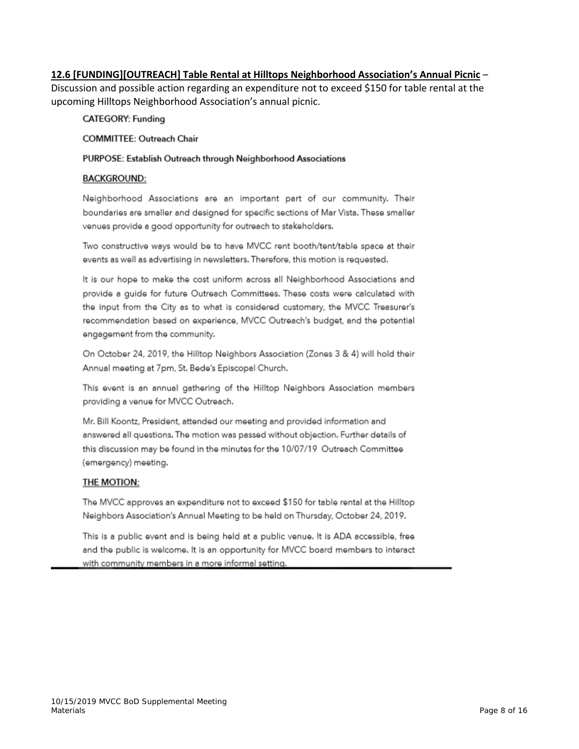#### 12.6 [FUNDING][OUTREACH] Table Rental at Hilltops Neighborhood Association's Annual Picnic -

Discussion and possible action regarding an expenditure not to exceed \$150 for table rental at the upcoming Hilltops Neighborhood Association's annual picnic.

**CATEGORY: Funding** 

**COMMITTEE: Outreach Chair** 

#### PURPOSE: Establish Outreach through Neighborhood Associations

#### **BACKGROUND:**

Neighborhood Associations are an important part of our community. Their boundaries are smaller and designed for specific sections of Mar Vista. These smaller venues provide a good opportunity for outreach to stakeholders.

Two constructive ways would be to have MVCC rent booth/tent/table space at their events as well as advertising in newsletters. Therefore, this motion is requested.

It is our hope to make the cost uniform across all Neighborhood Associations and provide a quide for future Outreach Committees. These costs were calculated with the input from the City as to what is considered customary, the MVCC Treasurer's recommendation based on experience, MVCC Outreach's budget, and the potential engagement from the community.

On October 24, 2019, the Hilltop Neighbors Association (Zones 3 & 4) will hold their Annual meeting at 7pm, St. Bede's Episcopal Church.

This event is an annual gathering of the Hilltop Neighbors Association members providing a venue for MVCC Outreach.

Mr. Bill Koontz, President, attended our meeting and provided information and answered all questions. The motion was passed without objection. Further details of this discussion may be found in the minutes for the 10/07/19 Outreach Committee (emergency) meeting.

#### THE MOTION:

The MVCC approves an expenditure not to exceed \$150 for table rental at the Hilltop Neighbors Association's Annual Meeting to be held on Thursday, October 24, 2019.

This is a public event and is being held at a public venue. It is ADA accessible, free and the public is welcome. It is an opportunity for MVCC board members to interact with community members in a more informal setting.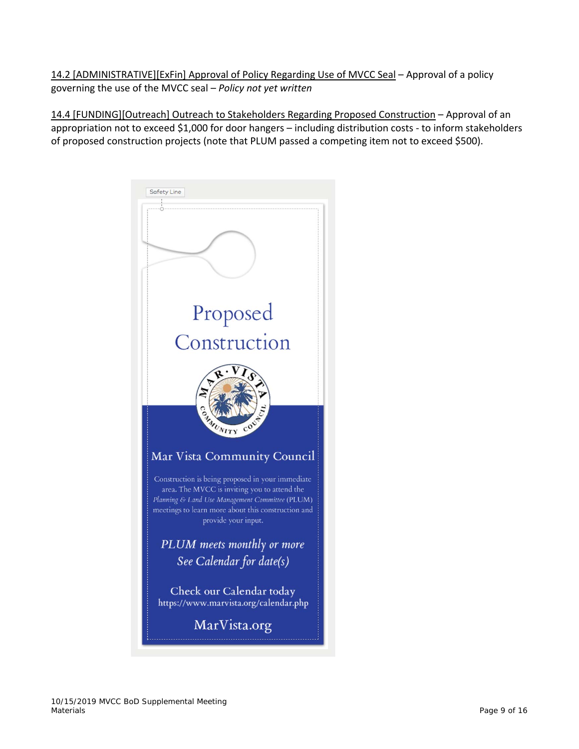14.2 [ADMINISTRATIVE][ExFin] Approval of Policy Regarding Use of MVCC Seal – Approval of a policy governing the use of the MVCC seal – *Policy not yet written*

14.4 [FUNDING][Outreach] Outreach to Stakeholders Regarding Proposed Construction – Approval of an appropriation not to exceed \$1,000 for door hangers – including distribution costs ‐ to inform stakeholders of proposed construction projects (note that PLUM passed a competing item not to exceed \$500).

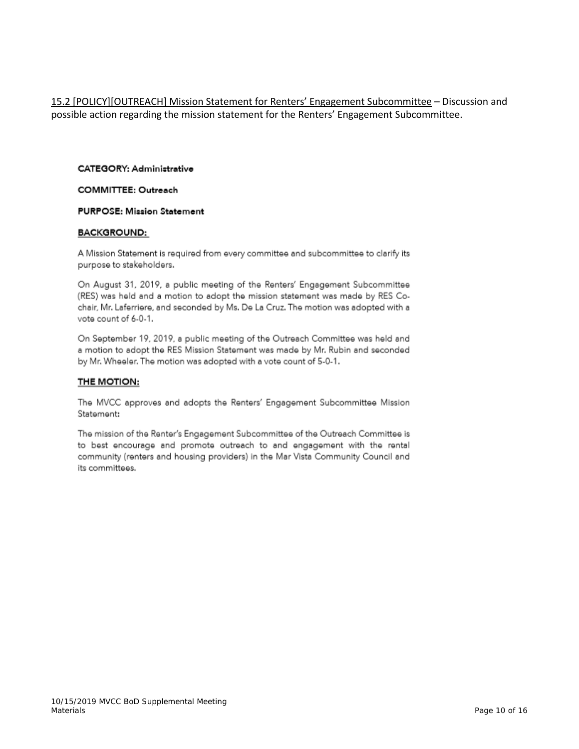15.2 [POLICY][OUTREACH] Mission Statement for Renters' Engagement Subcommittee - Discussion and possible action regarding the mission statement for the Renters' Engagement Subcommittee.

#### **CATEGORY: Administrative**

#### **COMMITTEE: Outreach**

#### **PURPOSE: Mission Statement**

#### **BACKGROUND:**

A Mission Statement is required from every committee and subcommittee to clarify its purpose to stakeholders.

On August 31, 2019, a public meeting of the Renters' Engagement Subcommittee (RES) was held and a motion to adopt the mission statement was made by RES Cochair, Mr. Laferriere, and seconded by Ms. De La Cruz. The motion was adopted with a vote count of 6-0-1.

On September 19, 2019, a public meeting of the Outreach Committee was held and a motion to adopt the RES Mission Statement was made by Mr. Rubin and seconded by Mr. Wheeler. The motion was adopted with a vote count of 5-0-1.

#### THE MOTION:

The MVCC approves and adopts the Renters' Engagement Subcommittee Mission Statement:

The mission of the Renter's Engagement Subcommittee of the Outreach Committee is to best encourage and promote outreach to and engagement with the rental community (renters and housing providers) in the Mar Vista Community Council and its committees.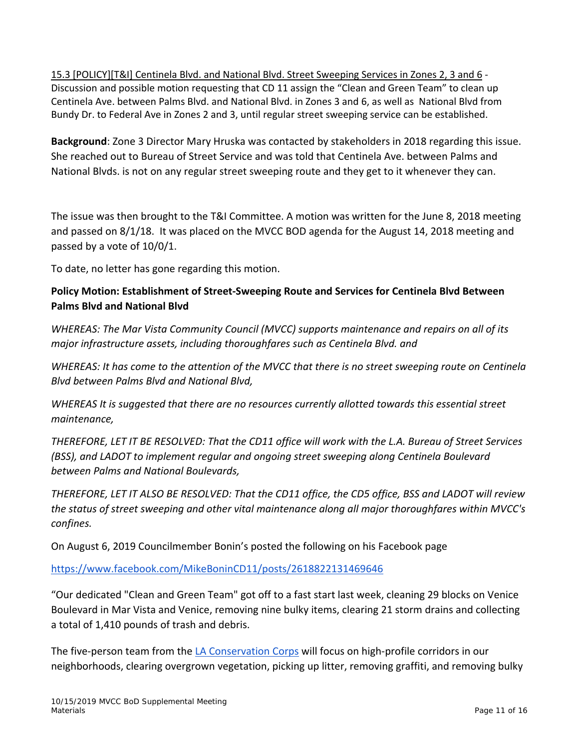15.3 [POLICY][T&I] Centinela Blvd. and National Blvd. Street Sweeping Services in Zones 2, 3 and 6 ‐ Discussion and possible motion requesting that CD 11 assign the "Clean and Green Team" to clean up Centinela Ave. between Palms Blvd. and National Blvd. in Zones 3 and 6, as well as National Blvd from Bundy Dr. to Federal Ave in Zones 2 and 3, until regular street sweeping service can be established.

**Background**: Zone 3 Director Mary Hruska was contacted by stakeholders in 2018 regarding this issue. She reached out to Bureau of Street Service and was told that Centinela Ave. between Palms and National Blvds. is not on any regular street sweeping route and they get to it whenever they can.

The issue was then brought to the T&I Committee. A motion was written for the June 8, 2018 meeting and passed on 8/1/18. It was placed on the MVCC BOD agenda for the August 14, 2018 meeting and passed by a vote of 10/0/1.

To date, no letter has gone regarding this motion.

## **Policy Motion: Establishment of Street‐Sweeping Route and Services for Centinela Blvd Between Palms Blvd and National Blvd**

*WHEREAS: The Mar Vista Community Council (MVCC) supports maintenance and repairs on all of its major infrastructure assets, including thoroughfares such as Centinela Blvd. and*

WHEREAS: It has come to the attention of the MVCC that there is no street sweeping route on Centinela *Blvd between Palms Blvd and National Blvd,*

*WHEREAS It is suggested that there are no resources currently allotted towards this essential street maintenance,*

THEREFORE, LET IT BE RESOLVED: That the CD11 office will work with the L.A. Bureau of Street Services *(BSS), and LADOT to implement regular and ongoing street sweeping along Centinela Boulevard between Palms and National Boulevards,*

THEREFORE, LET IT ALSO BE RESOLVED: That the CD11 office, the CD5 office, BSS and LADOT will review *the status of street sweeping and other vital maintenance along all major thoroughfares within MVCC's confines.*

On August 6, 2019 Councilmember Bonin's posted the following on his Facebook page

https://www.facebook.com/MikeBoninCD11/posts/2618822131469646

"Our dedicated "Clean and Green Team" got off to a fast start last week, cleaning 29 blocks on Venice Boulevard in Mar Vista and Venice, removing nine bulky items, clearing 21 storm drains and collecting a total of 1,410 pounds of trash and debris.

The five-person team from the LA Conservation Corps will focus on high-profile corridors in our neighborhoods, clearing overgrown vegetation, picking up litter, removing graffiti, and removing bulky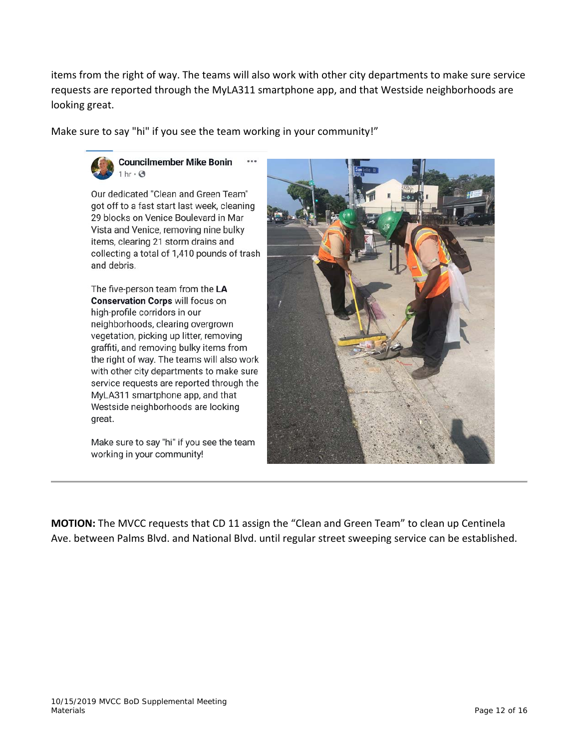items from the right of way. The teams will also work with other city departments to make sure service requests are reported through the MyLA311 smartphone app, and that Westside neighborhoods are looking great.

Make sure to say "hi" if you see the team working in your community!"



**Councilmember Mike Bonin**  $1 \text{ hr} \cdot \text{A}$ 

Our dedicated "Clean and Green Team" got off to a fast start last week, cleaning 29 blocks on Venice Boulevard in Mar Vista and Venice, removing nine bulky items, clearing 21 storm drains and collecting a total of 1,410 pounds of trash and debris.

The five-person team from the LA **Conservation Corps will focus on** high-profile corridors in our neighborhoods, clearing overgrown vegetation, picking up litter, removing graffiti, and removing bulky items from the right of way. The teams will also work with other city departments to make sure service requests are reported through the MyLA311 smartphone app, and that Westside neighborhoods are looking great.

Make sure to say "hi" if you see the team working in your community!



**MOTION:** The MVCC requests that CD 11 assign the "Clean and Green Team" to clean up Centinela Ave. between Palms Blvd. and National Blvd. until regular street sweeping service can be established.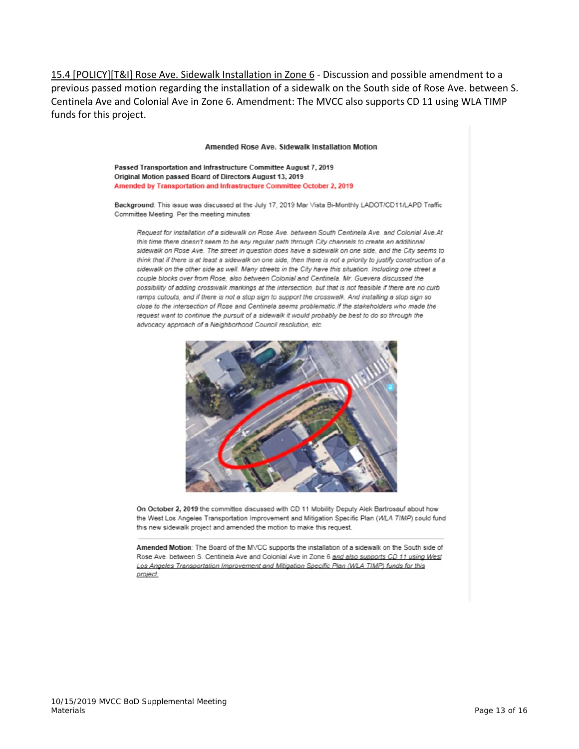15.4 [POLICY][T&I] Rose Ave. Sidewalk Installation in Zone 6 ‐ Discussion and possible amendment to a previous passed motion regarding the installation of a sidewalk on the South side of Rose Ave. between S. Centinela Ave and Colonial Ave in Zone 6. Amendment: The MVCC also supports CD 11 using WLA TIMP funds for this project.

#### Amended Rose Ave. Sidewalk Installation Motion

Passed Transportation and Infrastructure Committee August 7, 2019 Original Motion passed Board of Directors August 13, 2019 Amended by Transportation and Infrastructure Committee October 2, 2019

Background: This issue was discussed at the July 17, 2019 Mar Vista Bi-Monthly LADOT/CD11/LAPD Traffic Committee Meeting. Per the meeting minutes:

Request for installation of a sidewalk on Rose Ave. between South Centinela Ave. and Colonial Ave.At this time there doesn't seem to be any regular path through City channels to create an additional sidewalk on Rose Ave. The street in question does have a sidewalk on one side, and the City seems to think that if there is at least a sidewalk on one side, then there is not a priority to justify construction of a sidewalk on the other side as well. Many streets in the City have this situation. Including one street a couple blocks over from Rose, also between Colonial and Centinela. Mr. Guevera discussed the possibility of adding crosswalk markings at the intersection, but that is not feasible if there are no curb ramps cutouts, and if there is not a stop sign to support the crosswalk. And installing a stop sign so close to the intersection of Rose and Centinela seems problematic.If the stakeholders who made the request want to continue the pursuit of a sidewalk it would probably be best to do so through the advocacy approach of a Neighborhood Council resolution, etc.



On October 2, 2019 the committee discussed with CD 11 Mobility Deputy Alek Bartrosauf about how the West Los Angeles Transportation Improvement and Mitigation Specific Plan (WLA TIMP) could fund this new sidewalk project and amended the motion to make this request.

Amended Motion: The Board of the MVCC supports the installation of a sidewalk on the South side of Rose Ave. between S. Centinela Ave and Colonial Ave in Zone 6 and also supports CD 11 using West Los Angeles Transportation Improvement and Mitigation Specific Plan (WLA TIMP) funds for this project.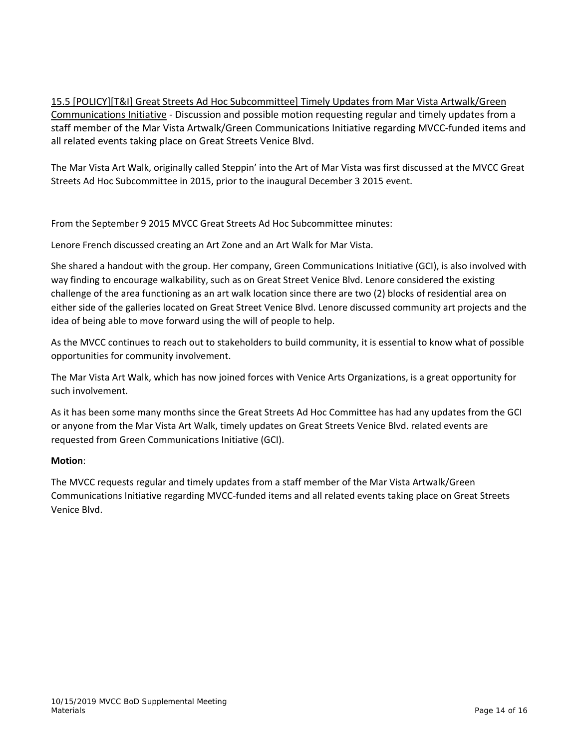15.5 [POLICY][T&I] Great Streets Ad Hoc Subcommittee] Timely Updates from Mar Vista Artwalk/Green Communications Initiative ‐ Discussion and possible motion requesting regular and timely updates from a staff member of the Mar Vista Artwalk/Green Communications Initiative regarding MVCC‐funded items and all related events taking place on Great Streets Venice Blvd.

The Mar Vista Art Walk, originally called Steppin' into the Art of Mar Vista was first discussed at the MVCC Great Streets Ad Hoc Subcommittee in 2015, prior to the inaugural December 3 2015 event.

From the September 9 2015 MVCC Great Streets Ad Hoc Subcommittee minutes:

Lenore French discussed creating an Art Zone and an Art Walk for Mar Vista.

She shared a handout with the group. Her company, Green Communications Initiative (GCI), is also involved with way finding to encourage walkability, such as on Great Street Venice Blvd. Lenore considered the existing challenge of the area functioning as an art walk location since there are two (2) blocks of residential area on either side of the galleries located on Great Street Venice Blvd. Lenore discussed community art projects and the idea of being able to move forward using the will of people to help.

As the MVCC continues to reach out to stakeholders to build community, it is essential to know what of possible opportunities for community involvement.

The Mar Vista Art Walk, which has now joined forces with Venice Arts Organizations, is a great opportunity for such involvement.

As it has been some many months since the Great Streets Ad Hoc Committee has had any updates from the GCI or anyone from the Mar Vista Art Walk, timely updates on Great Streets Venice Blvd. related events are requested from Green Communications Initiative (GCI).

#### **Motion**:

The MVCC requests regular and timely updates from a staff member of the Mar Vista Artwalk/Green Communications Initiative regarding MVCC‐funded items and all related events taking place on Great Streets Venice Blvd.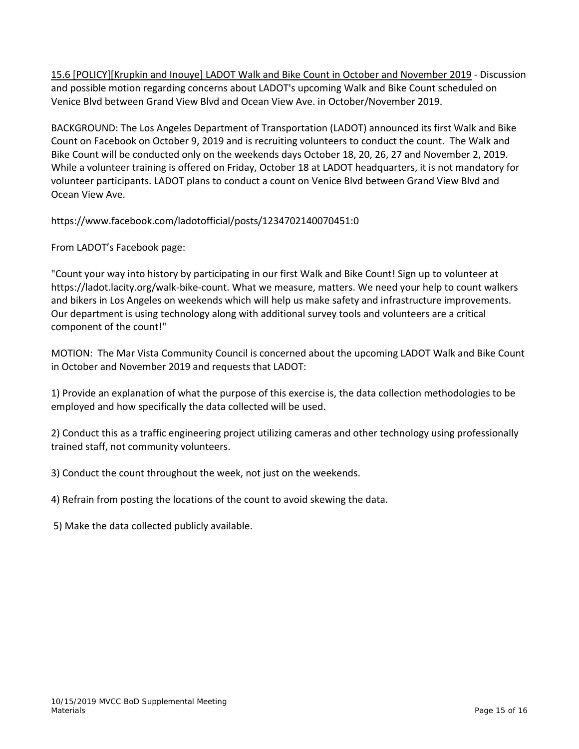15.6 [POLICY][Krupkin and Inouye] LADOT Walk and Bike Count in October and November 2019 ‐ Discussion and possible motion regarding concerns about LADOT's upcoming Walk and Bike Count scheduled on Venice Blvd between Grand View Blvd and Ocean View Ave. in October/November 2019.

BACKGROUND: The Los Angeles Department of Transportation (LADOT) announced its first Walk and Bike Count on Facebook on October 9, 2019 and is recruiting volunteers to conduct the count. The Walk and Bike Count will be conducted only on the weekends days October 18, 20, 26, 27 and November 2, 2019. While a volunteer training is offered on Friday, October 18 at LADOT headquarters, it is not mandatory for volunteer participants. LADOT plans to conduct a count on Venice Blvd between Grand View Blvd and Ocean View Ave.

https://www.facebook.com/ladotofficial/posts/1234702140070451:0

From LADOT's Facebook page:

"Count your way into history by participating in our first Walk and Bike Count! Sign up to volunteer at https://ladot.lacity.org/walk‐bike‐count. What we measure, matters. We need your help to count walkers and bikers in Los Angeles on weekends which will help us make safety and infrastructure improvements. Our department is using technology along with additional survey tools and volunteers are a critical component of the count!"

MOTION: The Mar Vista Community Council is concerned about the upcoming LADOT Walk and Bike Count in October and November 2019 and requests that LADOT:

1) Provide an explanation of what the purpose of this exercise is, the data collection methodologies to be employed and how specifically the data collected will be used.

2) Conduct this as a traffic engineering project utilizing cameras and other technology using professionally trained staff, not community volunteers.

3) Conduct the count throughout the week, not just on the weekends.

4) Refrain from posting the locations of the count to avoid skewing the data.

5) Make the data collected publicly available.